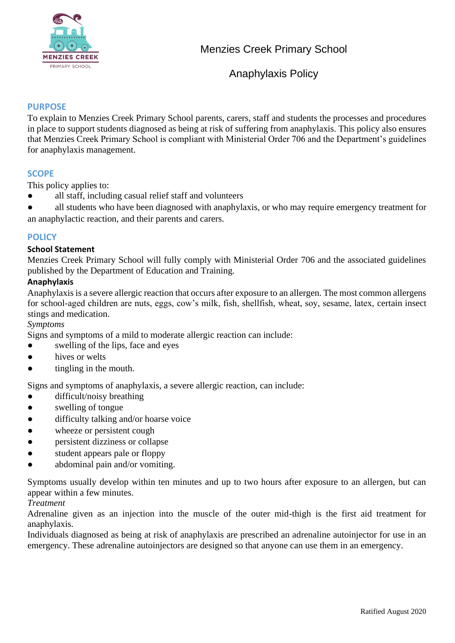

### **PURPOSE**

To explain to Menzies Creek Primary School parents, carers, staff and students the processes and procedures in place to support students diagnosed as being at risk of suffering from anaphylaxis. This policy also ensures that Menzies Creek Primary School is compliant with Ministerial Order 706 and the Department's guidelines for anaphylaxis management.

#### **SCOPE**

This policy applies to:

all staff, including casual relief staff and volunteers

all students who have been diagnosed with anaphylaxis, or who may require emergency treatment for an anaphylactic reaction, and their parents and carers.

#### **POLICY**

#### **School Statement**

Menzies Creek Primary School will fully comply with Ministerial Order 706 and the associated guidelines published by the Department of Education and Training.

### **Anaphylaxis**

Anaphylaxis is a severe allergic reaction that occurs after exposure to an allergen. The most common allergens for school-aged children are nuts, eggs, cow's milk, fish, shellfish, wheat, soy, sesame, latex, certain insect stings and medication.

#### *Symptoms*

Signs and symptoms of a mild to moderate allergic reaction can include:

- swelling of the lips, face and eyes
- hives or welts
- tingling in the mouth.

Signs and symptoms of anaphylaxis, a severe allergic reaction, can include:

- difficult/noisy breathing
- swelling of tongue
- difficulty talking and/or hoarse voice
- wheeze or persistent cough
- persistent dizziness or collapse
- student appears pale or floppy
- abdominal pain and/or vomiting.

Symptoms usually develop within ten minutes and up to two hours after exposure to an allergen, but can appear within a few minutes.

#### *Treatment*

Adrenaline given as an injection into the muscle of the outer mid-thigh is the first aid treatment for anaphylaxis.

Individuals diagnosed as being at risk of anaphylaxis are prescribed an adrenaline autoinjector for use in an emergency. These adrenaline autoinjectors are designed so that anyone can use them in an emergency.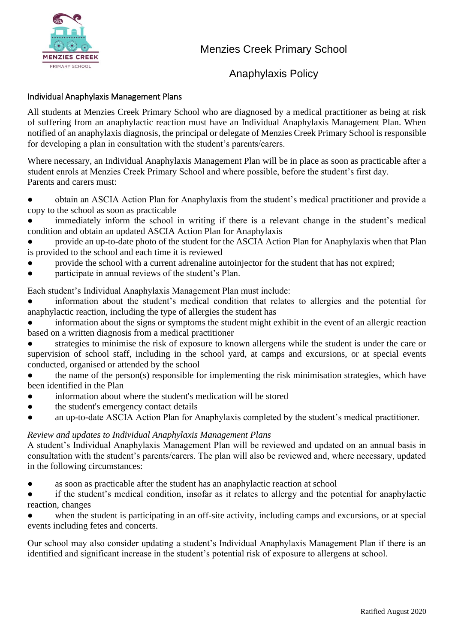

## Individual Anaphylaxis Management Plans

All students at Menzies Creek Primary School who are diagnosed by a medical practitioner as being at risk of suffering from an anaphylactic reaction must have an Individual Anaphylaxis Management Plan. When notified of an anaphylaxis diagnosis, the principal or delegate of Menzies Creek Primary School is responsible for developing a plan in consultation with the student's parents/carers.

Where necessary, an Individual Anaphylaxis Management Plan will be in place as soon as practicable after a student enrols at Menzies Creek Primary School and where possible, before the student's first day. Parents and carers must:

obtain an ASCIA Action Plan for Anaphylaxis from the student's medical practitioner and provide a copy to the school as soon as practicable

immediately inform the school in writing if there is a relevant change in the student's medical condition and obtain an updated ASCIA Action Plan for Anaphylaxis

- provide an up-to-date photo of the student for the ASCIA Action Plan for Anaphylaxis when that Plan is provided to the school and each time it is reviewed
- provide the school with a current adrenaline autoinjector for the student that has not expired;
- participate in annual reviews of the student's Plan.

Each student's Individual Anaphylaxis Management Plan must include:

information about the student's medical condition that relates to allergies and the potential for anaphylactic reaction, including the type of allergies the student has

information about the signs or symptoms the student might exhibit in the event of an allergic reaction based on a written diagnosis from a medical practitioner

strategies to minimise the risk of exposure to known allergens while the student is under the care or supervision of school staff, including in the school yard, at camps and excursions, or at special events conducted, organised or attended by the school

● the name of the person(s) responsible for implementing the risk minimisation strategies, which have been identified in the Plan

- information about where the student's medication will be stored
- the student's emergency contact details
- an up-to-date ASCIA Action Plan for Anaphylaxis completed by the student's medical practitioner.

## *Review and updates to Individual Anaphylaxis Management Plans*

A student's Individual Anaphylaxis Management Plan will be reviewed and updated on an annual basis in consultation with the student's parents/carers. The plan will also be reviewed and, where necessary, updated in the following circumstances:

● as soon as practicable after the student has an anaphylactic reaction at school

if the student's medical condition, insofar as it relates to allergy and the potential for anaphylactic reaction, changes

● when the student is participating in an off-site activity, including camps and excursions, or at special events including fetes and concerts.

Our school may also consider updating a student's Individual Anaphylaxis Management Plan if there is an identified and significant increase in the student's potential risk of exposure to allergens at school.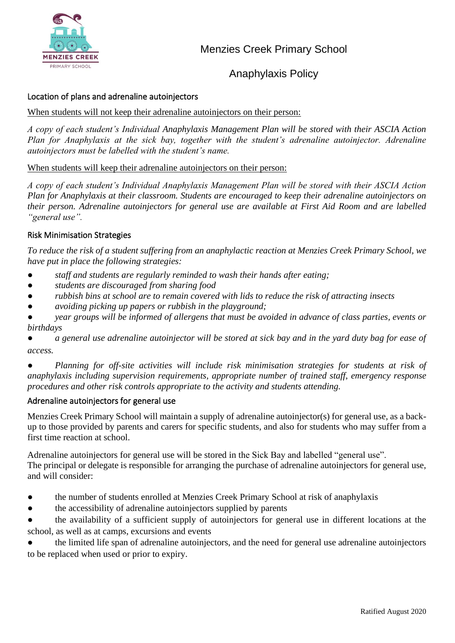

## Location of plans and adrenaline autoinjectors

#### When students will not keep their adrenaline autoinjectors on their person:

*A copy of each student's Individual Anaphylaxis Management Plan will be stored with their ASCIA Action Plan for Anaphylaxis at the sick bay, together with the student's adrenaline autoinjector. Adrenaline autoinjectors must be labelled with the student's name.*

#### When students will keep their adrenaline autoinjectors on their person:

*A copy of each student's Individual Anaphylaxis Management Plan will be stored with their ASCIA Action Plan for Anaphylaxis at their classroom. Students are encouraged to keep their adrenaline autoinjectors on their person. Adrenaline autoinjectors for general use are available at First Aid Room and are labelled "general use".* 

## Risk Minimisation Strategies

*To reduce the risk of a student suffering from an anaphylactic reaction at Menzies Creek Primary School, we have put in place the following strategies:*

- *staff and students are regularly reminded to wash their hands after eating;*
- *students are discouraged from sharing food*
- *rubbish bins at school are to remain covered with lids to reduce the risk of attracting insects*
- avoiding picking up papers or rubbish in the playground:

● *year groups will be informed of allergens that must be avoided in advance of class parties, events or birthdays*

a general use adrenaline autoinjector will be stored at sick bay and in the yard duty bag for ease of *access.*

● *Planning for off-site activities will include risk minimisation strategies for students at risk of anaphylaxis including supervision requirements, appropriate number of trained staff, emergency response procedures and other risk controls appropriate to the activity and students attending.* 

#### Adrenaline autoinjectors for general use

Menzies Creek Primary School will maintain a supply of adrenaline autoinjector(s) for general use, as a backup to those provided by parents and carers for specific students, and also for students who may suffer from a first time reaction at school.

Adrenaline autoinjectors for general use will be stored in the Sick Bay and labelled "general use". The principal or delegate is responsible for arranging the purchase of adrenaline autoinjectors for general use, and will consider:

- the number of students enrolled at Menzies Creek Primary School at risk of anaphylaxis
- the accessibility of adrenaline autoinjectors supplied by parents

the availability of a sufficient supply of autoinjectors for general use in different locations at the school, as well as at camps, excursions and events

the limited life span of adrenaline autoinjectors, and the need for general use adrenaline autoinjectors to be replaced when used or prior to expiry.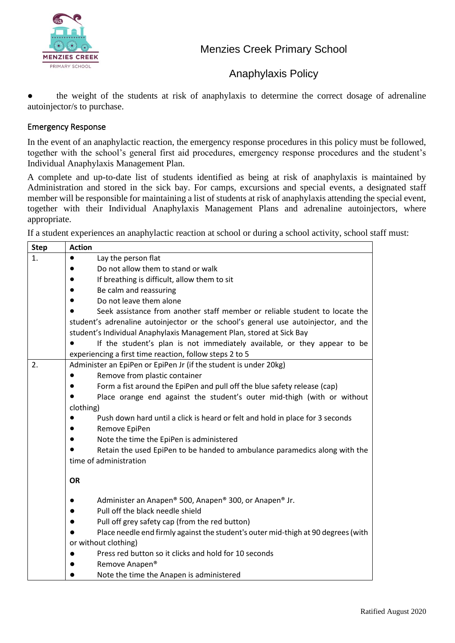

● the weight of the students at risk of anaphylaxis to determine the correct dosage of adrenaline autoinjector/s to purchase.

## Emergency Response

In the event of an anaphylactic reaction, the emergency response procedures in this policy must be followed, together with the school's general first aid procedures, emergency response procedures and the student's Individual Anaphylaxis Management Plan.

A complete and up-to-date list of students identified as being at risk of anaphylaxis is maintained by Administration and stored in the sick bay. For camps, excursions and special events, a designated staff member will be responsible for maintaining a list of students at risk of anaphylaxis attending the special event, together with their Individual Anaphylaxis Management Plans and adrenaline autoinjectors, where appropriate.

If a student experiences an anaphylactic reaction at school or during a school activity, school staff must:

| <b>Step</b> | <b>Action</b>                                                                       |
|-------------|-------------------------------------------------------------------------------------|
| 1.          | Lay the person flat                                                                 |
|             | Do not allow them to stand or walk                                                  |
|             | If breathing is difficult, allow them to sit                                        |
|             | Be calm and reassuring                                                              |
|             | Do not leave them alone                                                             |
|             | Seek assistance from another staff member or reliable student to locate the         |
|             | student's adrenaline autoinjector or the school's general use autoinjector, and the |
|             | student's Individual Anaphylaxis Management Plan, stored at Sick Bay                |
|             | If the student's plan is not immediately available, or they appear to be            |
|             | experiencing a first time reaction, follow steps 2 to 5                             |
| 2.          | Administer an EpiPen or EpiPen Jr (if the student is under 20kg)                    |
|             | Remove from plastic container                                                       |
|             | Form a fist around the EpiPen and pull off the blue safety release (cap)            |
|             | Place orange end against the student's outer mid-thigh (with or without             |
|             | clothing)                                                                           |
|             | Push down hard until a click is heard or felt and hold in place for 3 seconds       |
|             | Remove EpiPen                                                                       |
|             | Note the time the EpiPen is administered                                            |
|             | Retain the used EpiPen to be handed to ambulance paramedics along with the          |
|             | time of administration                                                              |
|             | <b>OR</b>                                                                           |
|             | Administer an Anapen® 500, Anapen® 300, or Anapen® Jr.                              |
|             | Pull off the black needle shield                                                    |
|             | Pull off grey safety cap (from the red button)                                      |
|             | Place needle end firmly against the student's outer mid-thigh at 90 degrees (with   |
|             | or without clothing)                                                                |
|             | Press red button so it clicks and hold for 10 seconds                               |
|             | Remove Anapen®                                                                      |
|             | Note the time the Anapen is administered                                            |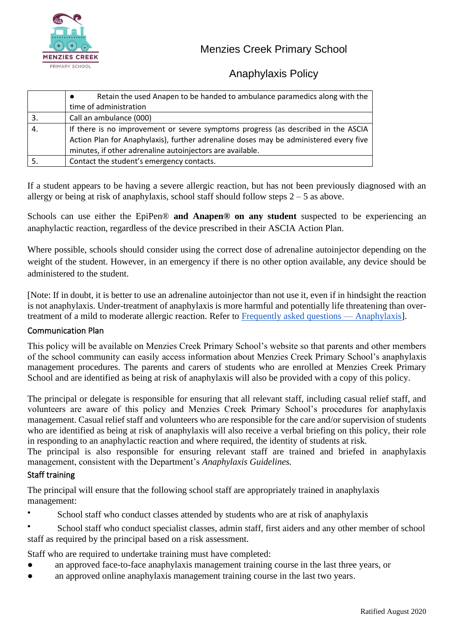

|     | Retain the used Anapen to be handed to ambulance paramedics along with the            |
|-----|---------------------------------------------------------------------------------------|
|     | time of administration                                                                |
| -3. | Call an ambulance (000)                                                               |
|     | If there is no improvement or severe symptoms progress (as described in the ASCIA     |
|     | Action Plan for Anaphylaxis), further adrenaline doses may be administered every five |
|     | minutes, if other adrenaline autoinjectors are available.                             |
|     | Contact the student's emergency contacts.                                             |

If a student appears to be having a severe allergic reaction, but has not been previously diagnosed with an allergy or being at risk of anaphylaxis, school staff should follow steps  $2 - 5$  as above.

Schools can use either the EpiPen® **and Anapen® on any student** suspected to be experiencing an anaphylactic reaction, regardless of the device prescribed in their ASCIA Action Plan.

Where possible, schools should consider using the correct dose of adrenaline autoinjector depending on the weight of the student. However, in an emergency if there is no other option available, any device should be administered to the student.

[Note: If in doubt, it is better to use an adrenaline autoinjector than not use it, even if in hindsight the reaction is not anaphylaxis. Under-treatment of anaphylaxis is more harmful and potentially life threatening than overtreatment of a mild to moderate allergic reaction. Refer t[o](https://nginx-php-content-policy-det-vic-gov-au-production.lagoon.vicsdp.amazee.io/sites/default/files/2020-03/anaphylaxis-faqs.docx) [Frequently asked questions —](https://nginx-php-content-policy-det-vic-gov-au-production.lagoon.vicsdp.amazee.io/sites/default/files/2020-03/anaphylaxis-faqs.docx) Anaphylaxis].

## Communication Plan

This policy will be available on Menzies Creek Primary School's website so that parents and other members of the school community can easily access information about Menzies Creek Primary School's anaphylaxis management procedures. The parents and carers of students who are enrolled at Menzies Creek Primary School and are identified as being at risk of anaphylaxis will also be provided with a copy of this policy.

The principal or delegate is responsible for ensuring that all relevant staff, including casual relief staff, and volunteers are aware of this policy and Menzies Creek Primary School's procedures for anaphylaxis management. Casual relief staff and volunteers who are responsible for the care and/or supervision of students who are identified as being at risk of anaphylaxis will also receive a verbal briefing on this policy, their role in responding to an anaphylactic reaction and where required, the identity of students at risk.

The principal is also responsible for ensuring relevant staff are trained and briefed in anaphylaxis management, consistent with the Department's *Anaphylaxis Guidelines.*

## Staff training

The principal will ensure that the following school staff are appropriately trained in anaphylaxis management:

• School staff who conduct classes attended by students who are at risk of anaphylaxis

School staff who conduct specialist classes, admin staff, first aiders and any other member of school staff as required by the principal based on a risk assessment.

Staff who are required to undertake training must have completed:

- an approved face-to-face anaphylaxis management training course in the last three years, or
- an approved online anaphylaxis management training course in the last two years.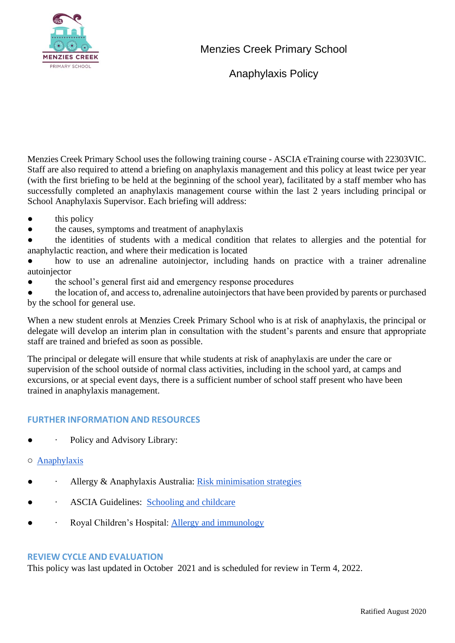

Menzies Creek Primary School

Anaphylaxis Policy

Menzies Creek Primary School uses the following training course - ASCIA eTraining course with 22303VIC. Staff are also required to attend a briefing on anaphylaxis management and this policy at least twice per year (with the first briefing to be held at the beginning of the school year), facilitated by a staff member who has successfully completed an anaphylaxis management course within the last 2 years including principal or School Anaphylaxis Supervisor. Each briefing will address:

- this policy
- the causes, symptoms and treatment of anaphylaxis

the identities of students with a medical condition that relates to allergies and the potential for anaphylactic reaction, and where their medication is located

how to use an adrenaline autoinjector, including hands on practice with a trainer adrenaline autoinjector

the school's general first aid and emergency response procedures

the location of, and access to, adrenaline autoinjectors that have been provided by parents or purchased by the school for general use.

When a new student enrols at Menzies Creek Primary School who is at risk of anaphylaxis, the principal or delegate will develop an interim plan in consultation with the student's parents and ensure that appropriate staff are trained and briefed as soon as possible.

The principal or delegate will ensure that while students at risk of anaphylaxis are under the care or supervision of the school outside of normal class activities, including in the school yard, at camps and excursions, or at special event days, there is a sufficient number of school staff present who have been trained in anaphylaxis management.

## **FURTHER INFORMATION AND RESOURCES**

- $\bullet$  · Policy and Advisory Library:
- o [Anaphylaxis](https://www2.education.vic.gov.au/pal/anaphylaxis/policy)
- $\bullet$  · Allergy & Anaphylaxis Australia[:](https://edugate.eduweb.vic.gov.au/edulibrary/Schools/teachers/health/riskminimisation.pdf) [Risk minimisation strategies](https://edugate.eduweb.vic.gov.au/edulibrary/Schools/teachers/health/riskminimisation.pdf)
- $\bullet$  · ASCIA Guidelines: [Schooling and childcare](https://allergyfacts.org.au/allergy-management/schooling-childcare)
- $\bullet$  · Royal Children's Hospital[:](https://www.rch.org.au/allergy/about_us/Allergy_and_Immunology/) [Allergy and immunology](https://www.rch.org.au/allergy/about_us/Allergy_and_Immunology/)

#### **REVIEW CYCLE AND EVALUATION**

This policy was last updated in October 2021 and is scheduled for review in Term 4, 2022.